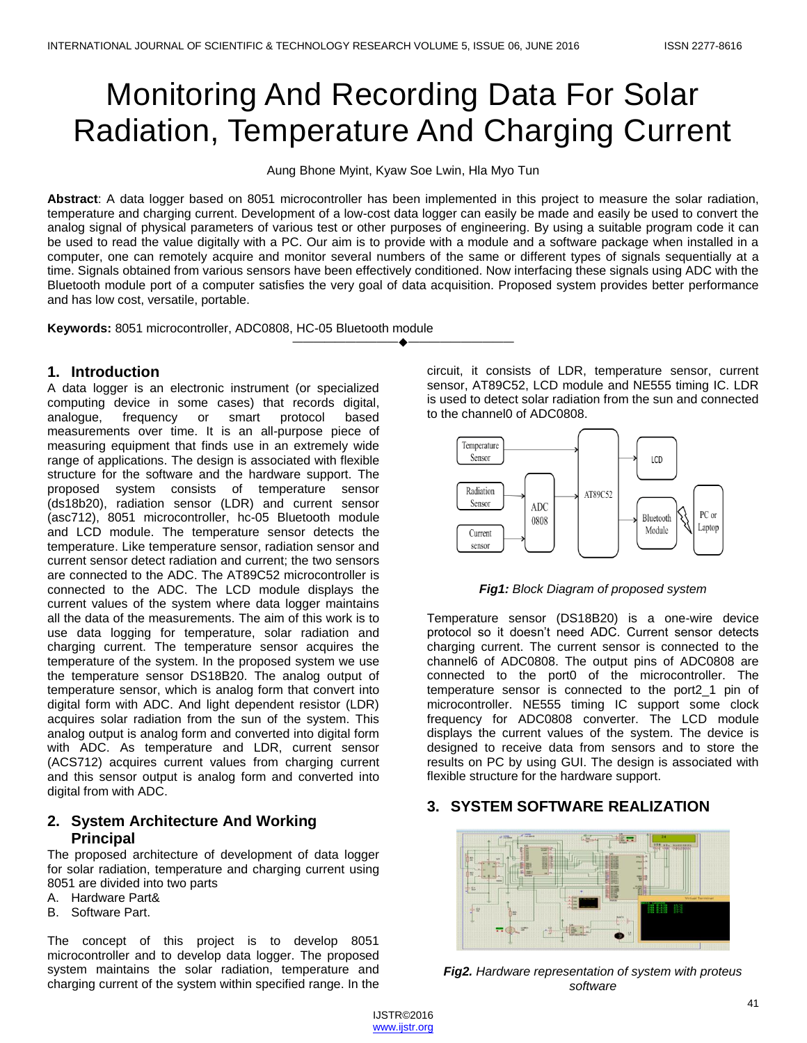# Monitoring And Recording Data For Solar Radiation, Temperature And Charging Current

Aung Bhone Myint, Kyaw Soe Lwin, Hla Myo Tun

**Abstract**: A data logger based on 8051 microcontroller has been implemented in this project to measure the solar radiation, temperature and charging current. Development of a low-cost data logger can easily be made and easily be used to convert the analog signal of physical parameters of various test or other purposes of engineering. By using a suitable program code it can be used to read the value digitally with a PC. Our aim is to provide with a module and a software package when installed in a computer, one can remotely acquire and monitor several numbers of the same or different types of signals sequentially at a time. Signals obtained from various sensors have been effectively conditioned. Now interfacing these signals using ADC with the Bluetooth module port of a computer satisfies the very goal of data acquisition. Proposed system provides better performance and has low cost, versatile, portable.

————————————————————

**Keywords:** 8051 microcontroller, ADC0808, HC-05 Bluetooth module

### **1. Introduction**

A data logger is an electronic instrument (or specialized computing device in some cases) that records digital, analogue, frequency or smart protocol based measurements over time. It is an all-purpose piece of measuring equipment that finds use in an extremely wide range of applications. The design is associated with flexible structure for the software and the hardware support. The proposed system consists of temperature sensor (ds18b20), radiation sensor (LDR) and current sensor (asc712), 8051 microcontroller, hc-05 Bluetooth module and LCD module. The temperature sensor detects the temperature. Like temperature sensor, radiation sensor and current sensor detect radiation and current; the two sensors are connected to the ADC. The AT89C52 microcontroller is connected to the ADC. The LCD module displays the current values of the system where data logger maintains all the data of the measurements. The aim of this work is to use data logging for temperature, solar radiation and charging current. The temperature sensor acquires the temperature of the system. In the proposed system we use the temperature sensor DS18B20. The analog output of temperature sensor, which is analog form that convert into digital form with ADC. And light dependent resistor (LDR) acquires solar radiation from the sun of the system. This analog output is analog form and converted into digital form with ADC. As temperature and LDR, current sensor (ACS712) acquires current values from charging current and this sensor output is analog form and converted into digital from with ADC.

## **2. System Architecture And Working Principal**

The proposed architecture of development of data logger for solar radiation, temperature and charging current using 8051 are divided into two parts

- A. Hardware Part&
- B. Software Part.

The concept of this project is to develop 8051 microcontroller and to develop data logger. The proposed system maintains the solar radiation, temperature and charging current of the system within specified range. In the circuit, it consists of LDR, temperature sensor, current sensor, AT89C52, LCD module and NE555 timing IC. LDR is used to detect solar radiation from the sun and connected to the channel0 of ADC0808.



*Fig1: Block Diagram of proposed system*

Temperature sensor (DS18B20) is a one-wire device protocol so it doesn't need ADC. Current sensor detects charging current. The current sensor is connected to the channel6 of ADC0808. The output pins of ADC0808 are connected to the port0 of the microcontroller. The temperature sensor is connected to the port2\_1 pin of microcontroller. NE555 timing IC support some clock frequency for ADC0808 converter. The LCD module displays the current values of the system. The device is designed to receive data from sensors and to store the results on PC by using GUI. The design is associated with flexible structure for the hardware support.

## **3. SYSTEM SOFTWARE REALIZATION**



*Fig2. Hardware representation of system with proteus software*